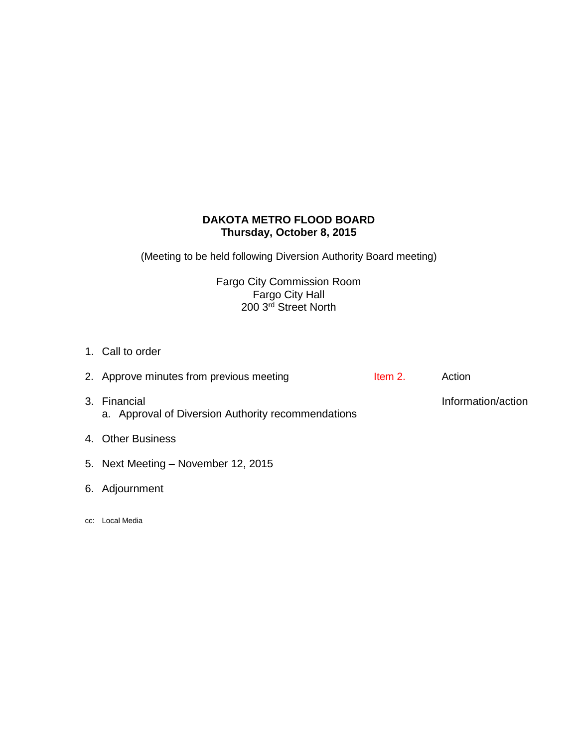# **DAKOTA METRO FLOOD BOARD Thursday, October 8, 2015**

(Meeting to be held following Diversion Authority Board meeting)

Fargo City Commission Room Fargo City Hall 200 3rd Street North

1. Call to order

| 2. Approve minutes from previous meeting                           | Item 2. | Action             |
|--------------------------------------------------------------------|---------|--------------------|
| 3. Financial<br>a. Approval of Diversion Authority recommendations |         | Information/action |
| 4. Other Business                                                  |         |                    |
| 5. Next Meeting – November 12, 2015                                |         |                    |

- 6. Adjournment
- cc: Local Media